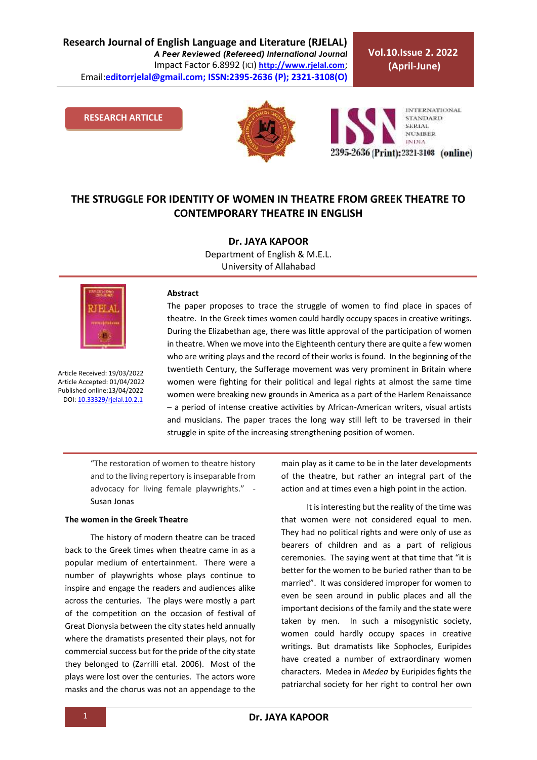**Research Journal of English Language and Literature (RJELAL)** *A Peer Reviewed (Refereed) International Journal* Impact Factor 6.8992 (ICI) **[http://www.rjelal.com](http://www.rjelal.com/)**; Email:**editorrjelal@gmail.com; ISSN:2395-2636 (P); 2321-3108(O)** 

**Vol.10.Issue 2. 2022 (April-June)**

### **RESEARCH ARTICLE**



**INTERNATIONAL STANDARD SERIAL NUMBER INDIA** 2395-2636 (Print): 2321-3108 (online)

## **THE STRUGGLE FOR IDENTITY OF WOMEN IN THEATRE FROM GREEK THEATRE TO CONTEMPORARY THEATRE IN ENGLISH**

**Dr. JAYA KAPOOR**  Department of English & M.E.L. University of Allahabad



Article Received: 19/03/2022 Article Accepted: 01/04/2022 Published online:13/04/2022 DOI[: 10.33329/rjelal.10.2.1](http://www.rjelal.com/)

#### **Abstract**

The paper proposes to trace the struggle of women to find place in spaces of theatre. In the Greek times women could hardly occupy spaces in creative writings. During the Elizabethan age, there was little approval of the participation of women in theatre. When we move into the Eighteenth century there are quite a few women who are writing plays and the record of their works is found. In the beginning of the twentieth Century, the Sufferage movement was very prominent in Britain where women were fighting for their political and legal rights at almost the same time women were breaking new grounds in America as a part of the Harlem Renaissance – a period of intense creative activities by African-American writers, visual artists and musicians. The paper traces the long way still left to be traversed in their struggle in spite of the increasing strengthening position of women.

"The restoration of women to theatre history and to the living repertory is inseparable from advocacy for living female playwrights." - Susan Jonas

## **The women in the Greek Theatre**

The history of modern theatre can be traced back to the Greek times when theatre came in as a popular medium of entertainment. There were a number of playwrights whose plays continue to inspire and engage the readers and audiences alike across the centuries. The plays were mostly a part of the competition on the occasion of festival of Great Dionysia between the city states held annually where the dramatists presented their plays, not for commercial success but for the pride of the city state they belonged to (Zarrilli etal. 2006). Most of the plays were lost over the centuries. The actors wore masks and the chorus was not an appendage to the main play as it came to be in the later developments of the theatre, but rather an integral part of the action and at times even a high point in the action.

It is interesting but the reality of the time was that women were not considered equal to men. They had no political rights and were only of use as bearers of children and as a part of religious ceremonies. The saying went at that time that "it is better for the women to be buried rather than to be married". It was considered improper for women to even be seen around in public places and all the important decisions of the family and the state were taken by men. In such a misogynistic society, women could hardly occupy spaces in creative writings. But dramatists like Sophocles, Euripides have created a number of extraordinary women characters. Medea in *Medea* by Euripides fights the patriarchal society for her right to control her own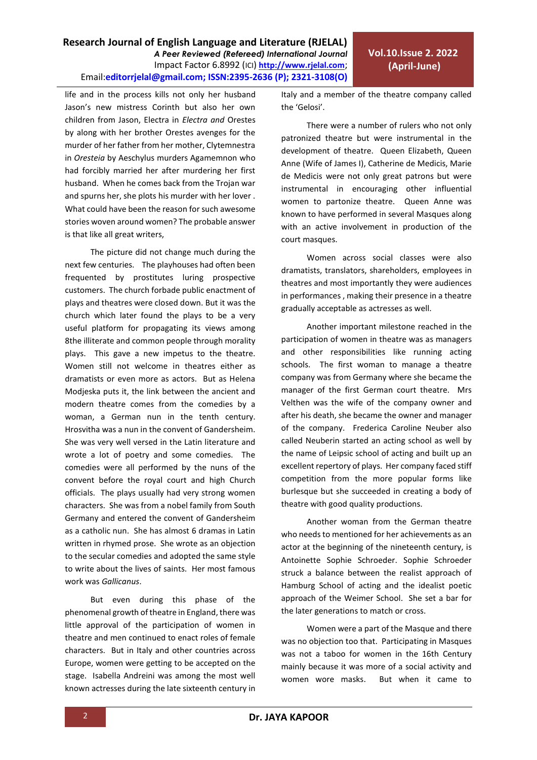life and in the process kills not only her husband Jason's new mistress Corinth but also her own children from Jason, Electra in *Electra and* Orestes by along with her brother Orestes avenges for the murder of her father from her mother, Clytemnestra in *Oresteia* by Aeschylus murders Agamemnon who had forcibly married her after murdering her first husband. When he comes back from the Trojan war and spurns her, she plots his murder with her lover . What could have been the reason for such awesome stories woven around women? The probable answer is that like all great writers,

The picture did not change much during the next few centuries. The playhouses had often been frequented by prostitutes luring prospective customers. The church forbade public enactment of plays and theatres were closed down. But it was the church which later found the plays to be a very useful platform for propagating its views among 8the illiterate and common people through morality plays. This gave a new impetus to the theatre. Women still not welcome in theatres either as dramatists or even more as actors. But as Helena Modjeska puts it, the link between the ancient and modern theatre comes from the comedies by a woman, a German nun in the tenth century. Hrosvitha was a nun in the convent of Gandersheim. She was very well versed in the Latin literature and wrote a lot of poetry and some comedies. The comedies were all performed by the nuns of the convent before the royal court and high Church officials. The plays usually had very strong women characters. She was from a nobel family from South Germany and entered the convent of Gandersheim as a catholic nun. She has almost 6 dramas in Latin written in rhymed prose. She wrote as an objection to the secular comedies and adopted the same style to write about the lives of saints. Her most famous work was *Gallicanus*.

But even during this phase of the phenomenal growth of theatre in England, there was little approval of the participation of women in theatre and men continued to enact roles of female characters. But in Italy and other countries across Europe, women were getting to be accepted on the stage. Isabella Andreini was among the most well known actresses during the late sixteenth century in Italy and a member of the theatre company called the 'Gelosi'.

There were a number of rulers who not only patronized theatre but were instrumental in the development of theatre. Queen Elizabeth, Queen Anne (Wife of James I), Catherine de Medicis, Marie de Medicis were not only great patrons but were instrumental in encouraging other influential women to partonize theatre. Queen Anne was known to have performed in several Masques along with an active involvement in production of the court masques.

Women across social classes were also dramatists, translators, shareholders, employees in theatres and most importantly they were audiences in performances , making their presence in a theatre gradually acceptable as actresses as well.

Another important milestone reached in the participation of women in theatre was as managers and other responsibilities like running acting schools. The first woman to manage a theatre company was from Germany where she became the manager of the first German court theatre. Mrs Velthen was the wife of the company owner and after his death, she became the owner and manager of the company. Frederica Caroline Neuber also called Neuberin started an acting school as well by the name of Leipsic school of acting and built up an excellent repertory of plays. Her company faced stiff competition from the more popular forms like burlesque but she succeeded in creating a body of theatre with good quality productions.

Another woman from the German theatre who needs to mentioned for her achievements as an actor at the beginning of the nineteenth century, is Antoinette Sophie Schroeder. Sophie Schroeder struck a balance between the realist approach of Hamburg School of acting and the idealist poetic approach of the Weimer School. She set a bar for the later generations to match or cross.

Women were a part of the Masque and there was no objection too that. Participating in Masques was not a taboo for women in the 16th Century mainly because it was more of a social activity and women wore masks. But when it came to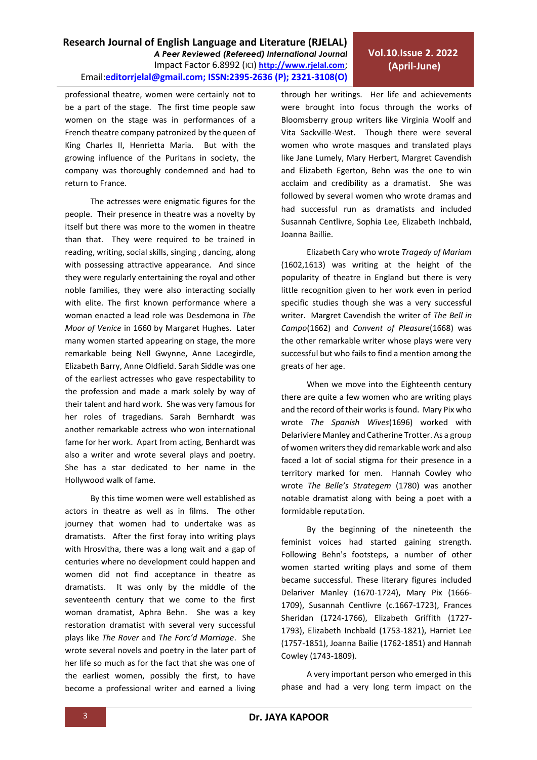**Research Journal of English Language and Literature (RJELAL)** *A Peer Reviewed (Refereed) International Journal* Impact Factor 6.8992 (ICI) **[http://www.rjelal.com](http://www.rjelal.com/)**; Email:**editorrjelal@gmail.com; ISSN:2395-2636 (P); 2321-3108(O)** 

professional theatre, women were certainly not to be a part of the stage. The first time people saw women on the stage was in performances of a French theatre company patronized by the queen of King Charles II, Henrietta Maria. But with the growing influence of the Puritans in society, the company was thoroughly condemned and had to return to France.

The actresses were enigmatic figures for the people. Their presence in theatre was a novelty by itself but there was more to the women in theatre than that. They were required to be trained in reading, writing, social skills, singing , dancing, along with possessing attractive appearance. And since they were regularly entertaining the royal and other noble families, they were also interacting socially with elite. The first known performance where a woman enacted a lead role was Desdemona in *The Moor of Venice* in 1660 by Margaret Hughes. Later many women started appearing on stage, the more remarkable being Nell Gwynne, Anne Lacegirdle, Elizabeth Barry, Anne Oldfield. Sarah Siddle was one of the earliest actresses who gave respectability to the profession and made a mark solely by way of their talent and hard work. She was very famous for her roles of tragedians. Sarah Bernhardt was another remarkable actress who won international fame for her work. Apart from acting, Benhardt was also a writer and wrote several plays and poetry. She has a star dedicated to her name in the Hollywood walk of fame.

By this time women were well established as actors in theatre as well as in films. The other journey that women had to undertake was as dramatists. After the first foray into writing plays with Hrosvitha, there was a long wait and a gap of centuries where no development could happen and women did not find acceptance in theatre as dramatists. It was only by the middle of the seventeenth century that we come to the first woman dramatist, Aphra Behn. She was a key restoration dramatist with several very successful plays like *The Rover* and *The Forc'd Marriage*. She wrote several novels and poetry in the later part of her life so much as for the fact that she was one of the earliest women, possibly the first, to have become a professional writer and earned a living through her writings. Her life and achievements were brought into focus through the works of Bloomsberry group writers like Virginia Woolf and Vita Sackville-West. Though there were several women who wrote masques and translated plays like Jane Lumely, Mary Herbert, Margret Cavendish and Elizabeth Egerton, Behn was the one to win acclaim and credibility as a dramatist. She was followed by several women who wrote dramas and had successful run as dramatists and included Susannah Centlivre, Sophia Lee, Elizabeth Inchbald, Joanna Baillie.

Elizabeth Cary who wrote *Tragedy of Mariam*  (1602,1613) was writing at the height of the popularity of theatre in England but there is very little recognition given to her work even in period specific studies though she was a very successful writer. Margret Cavendish the writer of *The Bell in Campo*(1662) and *Convent of Pleasure*(1668) was the other remarkable writer whose plays were very successful but who fails to find a mention among the greats of her age.

When we move into the Eighteenth century there are quite a few women who are writing plays and the record of their works is found. Mary Pix who wrote *The Spanish Wives*(1696) worked with Delariviere Manley and Catherine Trotter. As a group of women writers they did remarkable work and also faced a lot of social stigma for their presence in a territory marked for men. Hannah Cowley who wrote *The Belle's Strategem* (1780) was another notable dramatist along with being a poet with a formidable reputation.

By the beginning of the nineteenth the feminist voices had started gaining strength. Following Behn's footsteps, a number of other women started writing plays and some of them became successful. These literary figures included Delariver Manley (1670-1724), Mary Pix (1666- 1709), Susannah Centlivre (c.1667-1723), Frances Sheridan (1724-1766), Elizabeth Griffith (1727- 1793), Elizabeth Inchbald (1753-1821), Harriet Lee (1757-1851), Joanna Bailie (1762-1851) and Hannah Cowley (1743-1809).

A very important person who emerged in this phase and had a very long term impact on the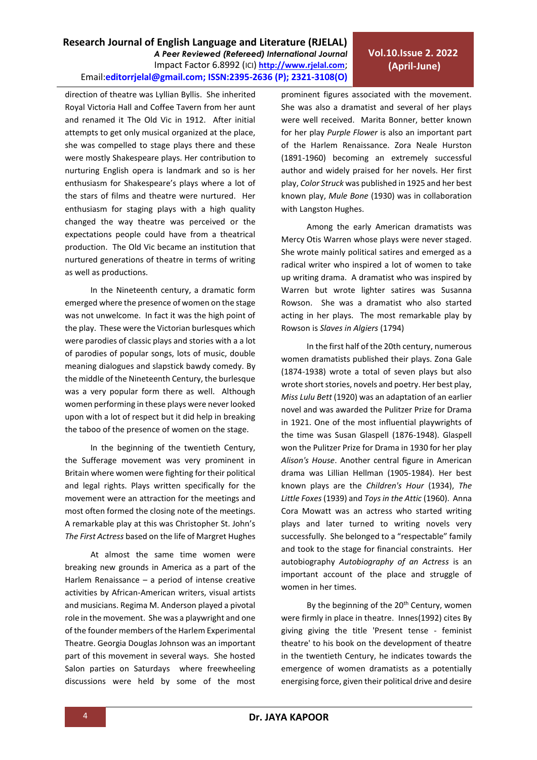**Research Journal of English Language and Literature (RJELAL)**

Email:**editorrjelal@gmail.com; ISSN:2395-2636 (P); 2321-3108(O)** 

*A Peer Reviewed (Refereed) International Journal* Impact Factor 6.8992 (ICI) **[http://www.rjelal.com](http://www.rjelal.com/)**;

Royal Victoria Hall and Coffee Tavern from her aunt and renamed it The Old Vic in 1912. After initial attempts to get only musical organized at the place, she was compelled to stage plays there and these were mostly Shakespeare plays. Her contribution to nurturing English opera is landmark and so is her enthusiasm for Shakespeare's plays where a lot of the stars of films and theatre were nurtured. Her enthusiasm for staging plays with a high quality changed the way theatre was perceived or the expectations people could have from a theatrical production. The Old Vic became an institution that nurtured generations of theatre in terms of writing as well as productions.

direction of theatre was Lyllian Byllis. She inherited

In the Nineteenth century, a dramatic form emerged where the presence of women on the stage was not unwelcome. In fact it was the high point of the play. These were the Victorian burlesques which were parodies of classic plays and stories with a a lot of parodies of popular songs, lots of music, double meaning dialogues and slapstick bawdy comedy. By the middle of the Nineteenth Century, the burlesque was a very popular form there as well. Although women performing in these plays were never looked upon with a lot of respect but it did help in breaking the taboo of the presence of women on the stage.

In the beginning of the twentieth Century, the Sufferage movement was very prominent in Britain where women were fighting for their political and legal rights. Plays written specifically for the movement were an attraction for the meetings and most often formed the closing note of the meetings. A remarkable play at this was Christopher St. John's *The First Actress* based on the life of Margret Hughes

At almost the same time women were breaking new grounds in America as a part of the Harlem Renaissance – a period of intense creative activities by African-American writers, visual artists and musicians. Regima M. Anderson played a pivotal role in the movement. She was a playwright and one of the founder members of the Harlem Experimental Theatre. Georgia Douglas Johnson was an important part of this movement in several ways. She hosted Salon parties on Saturdays where freewheeling discussions were held by some of the most prominent figures associated with the movement. She was also a dramatist and several of her plays were well received. Marita Bonner, better known for her play *Purple Flower* is also an important part of the Harlem Renaissance. Zora Neale Hurston (1891-1960) becoming an extremely successful author and widely praised for her novels. Her first play, *Color Struck* was published in 1925 and her best known play, *Mule Bone* (1930) was in collaboration with Langston Hughes.

Among the early American dramatists was Mercy Otis Warren whose plays were never staged. She wrote mainly political satires and emerged as a radical writer who inspired a lot of women to take up writing drama. A dramatist who was inspired by Warren but wrote lighter satires was Susanna Rowson. She was a dramatist who also started acting in her plays. The most remarkable play by Rowson is *Slaves in Algiers* (1794)

In the first half of the 20th century, numerous women dramatists published their plays. Zona Gale (1874-1938) wrote a total of seven plays but also wrote short stories, novels and poetry. Her best play, *Miss Lulu Bett* (1920) was an adaptation of an earlier novel and was awarded the Pulitzer Prize for Drama in 1921. One of the most influential playwrights of the time was Susan Glaspell (1876-1948). Glaspell won the Pulitzer Prize for Drama in 1930 for her play *Alison's House*. Another central figure in American drama was Lillian Hellman (1905-1984). Her best known plays are the *Children's Hour* (1934), *The Little Foxes*(1939) and *Toys in the Attic* (1960). Anna Cora Mowatt was an actress who started writing plays and later turned to writing novels very successfully. She belonged to a "respectable" family and took to the stage for financial constraints. Her autobiography *Autobiography of an Actress* is an important account of the place and struggle of women in her times.

By the beginning of the 20<sup>th</sup> Century, women were firmly in place in theatre. Innes(1992) cites By giving giving the title 'Present tense - feminist theatre' to his book on the development of theatre in the twentieth Century, he indicates towards the emergence of women dramatists as a potentially energising force, given their political drive and desire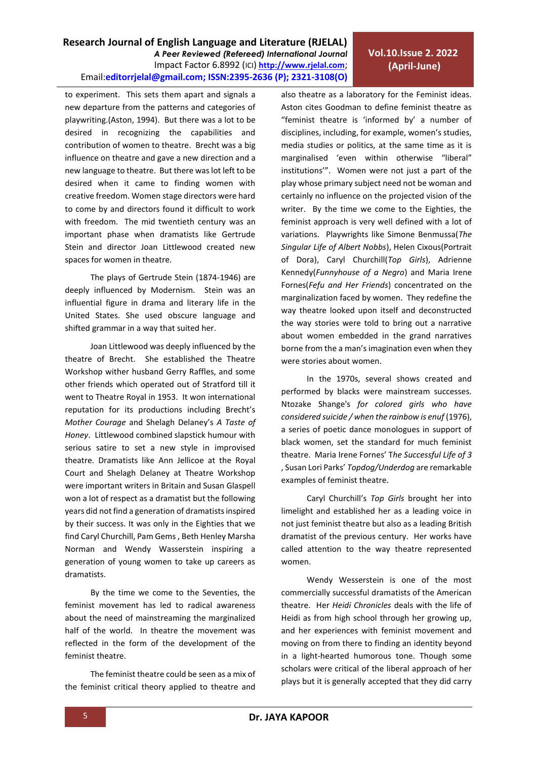# **Vol.10.Issue 2. 2022 (April-June)**

to experiment. This sets them apart and signals a new departure from the patterns and categories of playwriting.(Aston, 1994). But there was a lot to be desired in recognizing the capabilities and contribution of women to theatre. Brecht was a big influence on theatre and gave a new direction and a new language to theatre. But there was lot left to be desired when it came to finding women with creative freedom. Women stage directors were hard to come by and directors found it difficult to work with freedom. The mid twentieth century was an important phase when dramatists like Gertrude Stein and director Joan Littlewood created new spaces for women in theatre.

The plays of Gertrude Stein (1874-1946) are deeply influenced by Modernism. Stein was an influential figure in drama and literary life in the United States. She used obscure language and shifted grammar in a way that suited her.

Joan Littlewood was deeply influenced by the theatre of Brecht. She established the Theatre Workshop wither husband Gerry Raffles, and some other friends which operated out of Stratford till it went to Theatre Royal in 1953. It won international reputation for its productions including Brecht's *Mother Courage* and Shelagh Delaney's *A Taste of Honey*. Littlewood combined slapstick humour with serious satire to set a new style in improvised theatre. Dramatists like Ann Jellicoe at the Royal Court and Shelagh Delaney at Theatre Workshop were important writers in Britain and Susan Glaspell won a lot of respect as a dramatist but the following years did not find a generation of dramatists inspired by their success. It was only in the Eighties that we find Caryl Churchill, Pam Gems , Beth Henley Marsha Norman and Wendy Wasserstein inspiring a generation of young women to take up careers as dramatists.

By the time we come to the Seventies, the feminist movement has led to radical awareness about the need of mainstreaming the marginalized half of the world. In theatre the movement was reflected in the form of the development of the feminist theatre.

The feminist theatre could be seen as a mix of the feminist critical theory applied to theatre and also theatre as a laboratory for the Feminist ideas. Aston cites Goodman to define feminist theatre as "feminist theatre is 'informed by' a number of disciplines, including, for example, women's studies, media studies or politics, at the same time as it is marginalised 'even within otherwise "liberal" institutions'". Women were not just a part of the play whose primary subject need not be woman and certainly no influence on the projected vision of the writer. By the time we come to the Eighties, the feminist approach is very well defined with a lot of variations. Playwrights like Simone Benmussa(*The Singular Life of Albert Nobbs*), Helen Cixous(Portrait of Dora), Caryl Churchill(*Top Girls*), Adrienne Kennedy(*Funnyhouse of a Negro*) and Maria Irene Fornes(*Fefu and Her Friends*) concentrated on the marginalization faced by women. They redefine the way theatre looked upon itself and deconstructed the way stories were told to bring out a narrative about women embedded in the grand narratives borne from the a man's imagination even when they were stories about women.

In the 1970s, several shows created and performed by blacks were mainstream successes. Ntozake Shange's *for colored girls who have considered suicide / when the rainbow is enuf* (1976), a series of poetic dance monologues in support of black women, set the standard for much feminist theatre. Maria Irene Fornes' T*he Successful Life of 3* , Susan Lori Parks' *Topdog/Underdog* are remarkable examples of feminist theatre.

Caryl Churchill's *Top Girls* brought her into limelight and established her as a leading voice in not just feminist theatre but also as a leading British dramatist of the previous century. Her works have called attention to the way theatre represented women.

Wendy Wesserstein is one of the most commercially successful dramatists of the American theatre. Her *Heidi Chronicles* deals with the life of Heidi as from high school through her growing up, and her experiences with feminist movement and moving on from there to finding an identity beyond in a light-hearted humorous tone. Though some scholars were critical of the liberal approach of her plays but it is generally accepted that they did carry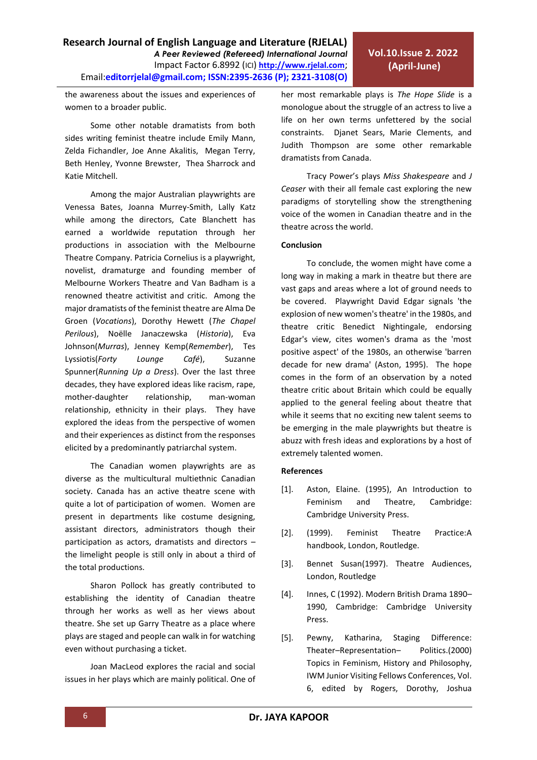**Research Journal of English Language and Literature (RJELAL)**

Email:**editorrjelal@gmail.com; ISSN:2395-2636 (P); 2321-3108(O)** 

*A Peer Reviewed (Refereed) International Journal* Impact Factor 6.8992 (ICI) **[http://www.rjelal.com](http://www.rjelal.com/)**;

Venessa Bates, Joanna Murrey-Smith, Lally Katz while among the directors, Cate Blanchett has earned a worldwide reputation through her productions in association with the Melbourne Theatre Company. Patricia Cornelius is a playwright, novelist, dramaturge and founding member of Melbourne Workers Theatre and Van Badham is a renowned theatre activitist and critic. Among the major dramatists of the feminist theatre are Alma De Groen (*Vocations*), Dorothy Hewett (*The Chapel Perilous*), Noëlle Janaczewska (*Historia*), Eva Johnson(*Murras*), Jenney Kemp(*Remember*), Tes Lyssiotis(*Forty Lounge Café*), Suzanne Spunner(*Running Up a Dress*). Over the last three decades, they have explored ideas like racism, rape,

the awareness about the issues and experiences of

sides writing feminist theatre include Emily Mann, Zelda Fichandler, Joe Anne Akalitis, Megan Terry, Beth Henley, Yvonne Brewster, Thea Sharrock and

Some other notable dramatists from both

Among the major Australian playwrights are

women to a broader public.

Katie Mitchell.

mother-daughter relationship, man-woman relationship, ethnicity in their plays. They have explored the ideas from the perspective of women and their experiences as distinct from the responses elicited by a predominantly patriarchal system.

The Canadian women playwrights are as diverse as the multicultural multiethnic Canadian society. Canada has an active theatre scene with quite a lot of participation of women. Women are present in departments like costume designing, assistant directors, administrators though their participation as actors, dramatists and directors – the limelight people is still only in about a third of the total productions.

Sharon Pollock has greatly contributed to establishing the identity of Canadian theatre through her works as well as her views about theatre. She set up Garry Theatre as a place where plays are staged and people can walk in for watching even without purchasing a ticket.

Joan MacLeod explores the racial and social issues in her plays which are mainly political. One of her most remarkable plays is *The Hope Slide* is a monologue about the struggle of an actress to live a life on her own terms unfettered by the social constraints. Djanet Sears, Marie Clements, and Judith Thompson are some other remarkable

Tracy Power's plays *Miss Shakespeare* and *J Ceaser* with their all female cast exploring the new paradigms of storytelling show the strengthening voice of the women in Canadian theatre and in the theatre across the world.

#### **Conclusion**

dramatists from Canada.

To conclude, the women might have come a long way in making a mark in theatre but there are vast gaps and areas where a lot of ground needs to be covered. Playwright David Edgar signals 'the explosion of new women's theatre' in the 1980s, and theatre critic Benedict Nightingale, endorsing Edgar's view, cites women's drama as the 'most positive aspect' of the 1980s, an otherwise 'barren decade for new drama' (Aston, 1995). The hope comes in the form of an observation by a noted theatre critic about Britain which could be equally applied to the general feeling about theatre that while it seems that no exciting new talent seems to be emerging in the male playwrights but theatre is abuzz with fresh ideas and explorations by a host of extremely talented women.

#### **References**

- [1]. Aston, Elaine. (1995), An Introduction to Feminism and Theatre, Cambridge: Cambridge University Press.
- [2]. (1999). Feminist Theatre Practice:A handbook, London, Routledge.
- [3]. Bennet Susan(1997). Theatre Audiences, London, Routledge
- [4]. Innes, C (1992). Modern British Drama 1890– 1990, Cambridge: Cambridge University Press.
- [5]. Pewny, Katharina, Staging Difference: Theater–Representation– Politics.(2000) Topics in Feminism, History and Philosophy, IWM Junior Visiting Fellows Conferences, Vol. 6, edited by Rogers, Dorothy, Joshua